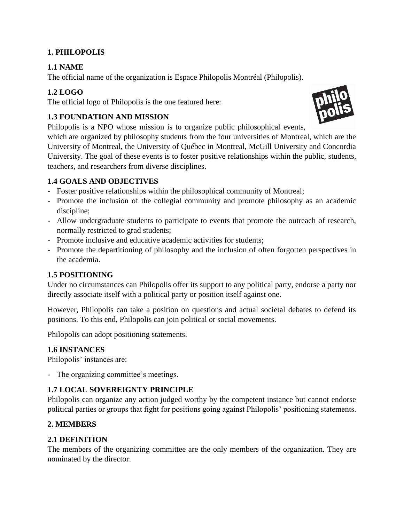## **1. PHILOPOLIS**

# **1.1 NAME**

The official name of the organization is Espace Philopolis Montréal (Philopolis).

# **1.2 LOGO**

The official logo of Philopolis is the one featured here:

# **1.3 FOUNDATION AND MISSION**

Philopolis is a NPO whose mission is to organize public philosophical events,

which are organized by philosophy students from the four universities of Montreal, which are the University of Montreal, the University of Québec in Montreal, McGill University and Concordia University. The goal of these events is to foster positive relationships within the public, students, teachers, and researchers from diverse disciplines.

## **1.4 GOALS AND OBJECTIVES**

- Foster positive relationships within the philosophical community of Montreal;
- Promote the inclusion of the collegial community and promote philosophy as an academic discipline;
- Allow undergraduate students to participate to events that promote the outreach of research, normally restricted to grad students;
- Promote inclusive and educative academic activities for students;
- Promote the departitioning of philosophy and the inclusion of often forgotten perspectives in the academia.

## **1.5 POSITIONING**

Under no circumstances can Philopolis offer its support to any political party, endorse a party nor directly associate itself with a political party or position itself against one.

However, Philopolis can take a position on questions and actual societal debates to defend its positions. To this end, Philopolis can join political or social movements.

Philopolis can adopt positioning statements.

## **1.6 INSTANCES**

Philopolis' instances are:

- The organizing committee's meetings.

## **1.7 LOCAL SOVEREIGNTY PRINCIPLE**

Philopolis can organize any action judged worthy by the competent instance but cannot endorse political parties or groups that fight for positions going against Philopolis' positioning statements.

## **2. MEMBERS**

## **2.1 DEFINITION**

The members of the organizing committee are the only members of the organization. They are nominated by the director.

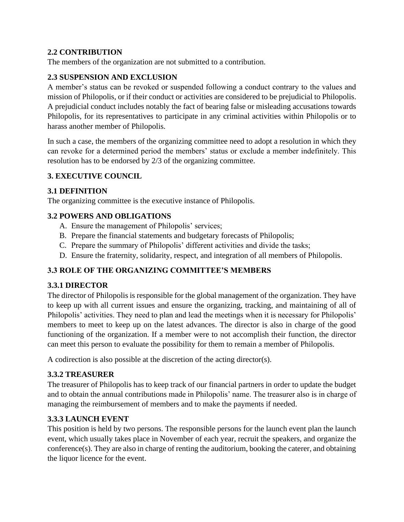## **2.2 CONTRIBUTION**

The members of the organization are not submitted to a contribution.

### **2.3 SUSPENSION AND EXCLUSION**

A member's status can be revoked or suspended following a conduct contrary to the values and mission of Philopolis, or if their conduct or activities are considered to be prejudicial to Philopolis. A prejudicial conduct includes notably the fact of bearing false or misleading accusations towards Philopolis, for its representatives to participate in any criminal activities within Philopolis or to harass another member of Philopolis.

In such a case, the members of the organizing committee need to adopt a resolution in which they can revoke for a determined period the members' status or exclude a member indefinitely. This resolution has to be endorsed by 2/3 of the organizing committee.

### **3. EXECUTIVE COUNCIL**

### **3.1 DEFINITION**

The organizing committee is the executive instance of Philopolis.

### **3.2 POWERS AND OBLIGATIONS**

- A. Ensure the management of Philopolis' services;
- B. Prepare the financial statements and budgetary forecasts of Philopolis;
- C. Prepare the summary of Philopolis' different activities and divide the tasks;
- D. Ensure the fraternity, solidarity, respect, and integration of all members of Philopolis.

## **3.3 ROLE OF THE ORGANIZING COMMITTEE'S MEMBERS**

#### **3.3.1 DIRECTOR**

The director of Philopolis is responsible for the global management of the organization. They have to keep up with all current issues and ensure the organizing, tracking, and maintaining of all of Philopolis' activities. They need to plan and lead the meetings when it is necessary for Philopolis' members to meet to keep up on the latest advances. The director is also in charge of the good functioning of the organization. If a member were to not accomplish their function, the director can meet this person to evaluate the possibility for them to remain a member of Philopolis.

A codirection is also possible at the discretion of the acting director(s).

#### **3.3.2 TREASURER**

The treasurer of Philopolis has to keep track of our financial partners in order to update the budget and to obtain the annual contributions made in Philopolis' name. The treasurer also is in charge of managing the reimbursement of members and to make the payments if needed.

## **3.3.3 LAUNCH EVENT**

This position is held by two persons. The responsible persons for the launch event plan the launch event, which usually takes place in November of each year, recruit the speakers, and organize the conference(s). They are also in charge of renting the auditorium, booking the caterer, and obtaining the liquor licence for the event.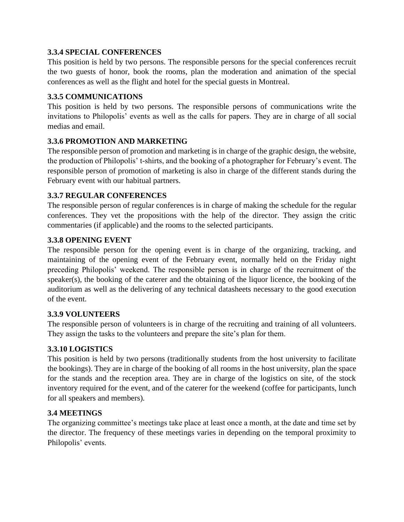### **3.3.4 SPECIAL CONFERENCES**

This position is held by two persons. The responsible persons for the special conferences recruit the two guests of honor, book the rooms, plan the moderation and animation of the special conferences as well as the flight and hotel for the special guests in Montreal.

### **3.3.5 COMMUNICATIONS**

This position is held by two persons. The responsible persons of communications write the invitations to Philopolis' events as well as the calls for papers. They are in charge of all social medias and email.

### **3.3.6 PROMOTION AND MARKETING**

The responsible person of promotion and marketing is in charge of the graphic design, the website, the production of Philopolis' t-shirts, and the booking of a photographer for February's event. The responsible person of promotion of marketing is also in charge of the different stands during the February event with our habitual partners.

### **3.3.7 REGULAR CONFERENCES**

The responsible person of regular conferences is in charge of making the schedule for the regular conferences. They vet the propositions with the help of the director. They assign the critic commentaries (if applicable) and the rooms to the selected participants.

### **3.3.8 OPENING EVENT**

The responsible person for the opening event is in charge of the organizing, tracking, and maintaining of the opening event of the February event, normally held on the Friday night preceding Philopolis' weekend. The responsible person is in charge of the recruitment of the speaker(s), the booking of the caterer and the obtaining of the liquor licence, the booking of the auditorium as well as the delivering of any technical datasheets necessary to the good execution of the event.

#### **3.3.9 VOLUNTEERS**

The responsible person of volunteers is in charge of the recruiting and training of all volunteers. They assign the tasks to the volunteers and prepare the site's plan for them.

#### **3.3.10 LOGISTICS**

This position is held by two persons (traditionally students from the host university to facilitate the bookings). They are in charge of the booking of all rooms in the host university, plan the space for the stands and the reception area. They are in charge of the logistics on site, of the stock inventory required for the event, and of the caterer for the weekend (coffee for participants, lunch for all speakers and members).

#### **3.4 MEETINGS**

The organizing committee's meetings take place at least once a month, at the date and time set by the director. The frequency of these meetings varies in depending on the temporal proximity to Philopolis' events.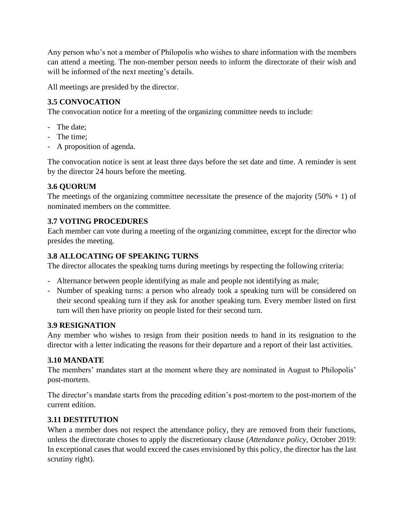Any person who's not a member of Philopolis who wishes to share information with the members can attend a meeting. The non-member person needs to inform the directorate of their wish and will be informed of the next meeting's details.

All meetings are presided by the director.

# **3.5 CONVOCATION**

The convocation notice for a meeting of the organizing committee needs to include:

- The date;
- The time;
- A proposition of agenda.

The convocation notice is sent at least three days before the set date and time. A reminder is sent by the director 24 hours before the meeting.

## **3.6 QUORUM**

The meetings of the organizing committee necessitate the presence of the majority  $(50\% + 1)$  of nominated members on the committee.

## **3.7 VOTING PROCEDURES**

Each member can vote during a meeting of the organizing committee, except for the director who presides the meeting.

## **3.8 ALLOCATING OF SPEAKING TURNS**

The director allocates the speaking turns during meetings by respecting the following criteria:

- Alternance between people identifying as male and people not identifying as male;
- Number of speaking turns: a person who already took a speaking turn will be considered on their second speaking turn if they ask for another speaking turn. Every member listed on first turn will then have priority on people listed for their second turn.

#### **3.9 RESIGNATION**

Any member who wishes to resign from their position needs to hand in its resignation to the director with a letter indicating the reasons for their departure and a report of their last activities.

#### **3.10 MANDATE**

The members' mandates start at the moment where they are nominated in August to Philopolis' post-mortem.

The director's mandate starts from the preceding edition's post-mortem to the post-mortem of the current edition.

#### **3.11 DESTITUTION**

When a member does not respect the attendance policy, they are removed from their functions, unless the directorate choses to apply the discretionary clause (*Attendance policy,* October 2019: In exceptional cases that would exceed the cases envisioned by this policy, the director has the last scrutiny right).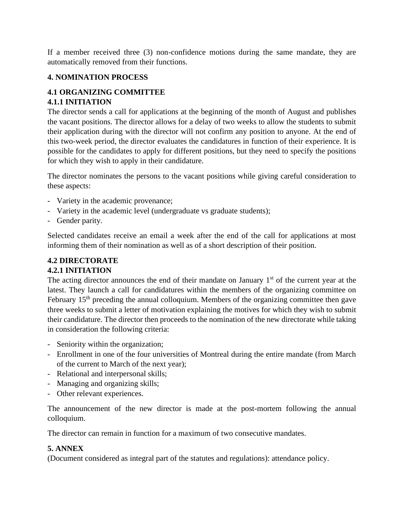If a member received three (3) non-confidence motions during the same mandate, they are automatically removed from their functions.

### **4. NOMINATION PROCESS**

### **4.1 ORGANIZING COMMITTEE 4.1.1 INITIATION**

The director sends a call for applications at the beginning of the month of August and publishes the vacant positions. The director allows for a delay of two weeks to allow the students to submit their application during with the director will not confirm any position to anyone. At the end of this two-week period, the director evaluates the candidatures in function of their experience. It is possible for the candidates to apply for different positions, but they need to specify the positions for which they wish to apply in their candidature.

The director nominates the persons to the vacant positions while giving careful consideration to these aspects:

- Variety in the academic provenance;
- Variety in the academic level (undergraduate vs graduate students);
- Gender parity.

Selected candidates receive an email a week after the end of the call for applications at most informing them of their nomination as well as of a short description of their position.

# **4.2 DIRECTORATE**

#### **4.2.1 INITIATION**

The acting director announces the end of their mandate on January  $1<sup>st</sup>$  of the current year at the latest. They launch a call for candidatures within the members of the organizing committee on February  $15<sup>th</sup>$  preceding the annual colloquium. Members of the organizing committee then gave three weeks to submit a letter of motivation explaining the motives for which they wish to submit their candidature. The director then proceeds to the nomination of the new directorate while taking in consideration the following criteria:

- Seniority within the organization;
- Enrollment in one of the four universities of Montreal during the entire mandate (from March of the current to March of the next year);
- Relational and interpersonal skills;
- Managing and organizing skills;
- Other relevant experiences.

The announcement of the new director is made at the post-mortem following the annual colloquium.

The director can remain in function for a maximum of two consecutive mandates.

## **5. ANNEX**

(Document considered as integral part of the statutes and regulations): attendance policy.